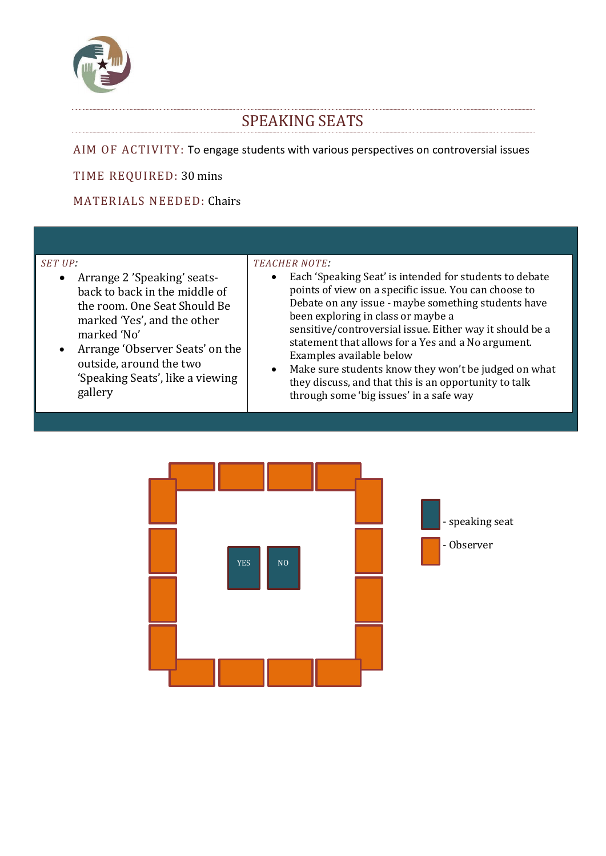

# SPEAKING SEATS

AIM OF ACTIVITY: To engage students with various perspectives on controversial issues

TIME REQUIRED: 30 mins

MATERIALS NEEDED: Chairs

#### *SET UP:*

- Arrange 2 'Speaking' seatsback to back in the middle of the room. One Seat Should Be marked 'Yes', and the other marked 'No'
- Arrange 'Observer Seats' on the outside, around the two 'Speaking Seats', like a viewing gallery

#### *TEACHER NOTE:*

- Each 'Speaking Seat' is intended for students to debate points of view on a specific issue. You can choose to Debate on any issue - maybe something students have been exploring in class or maybe a sensitive/controversial issue. Either way it should be a statement that allows for a Yes and a No argument. Examples available below
- Make sure students know they won't be judged on what they discuss, and that this is an opportunity to talk through some 'big issues' in a safe way

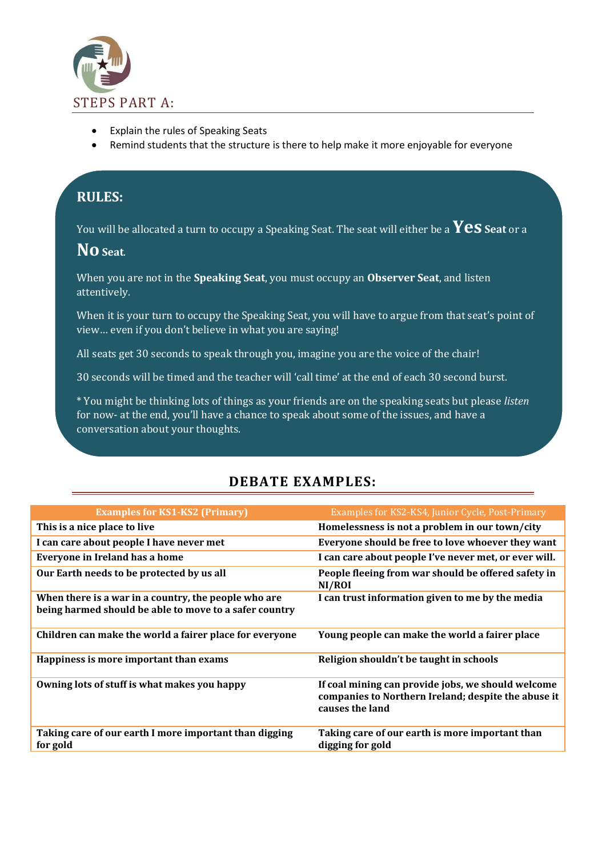

- Explain the rules of Speaking Seats
- Remind students that the structure is there to help make it more enjoyable for everyone

# **RULES:**

You will be allocated a turn to occupy a Speaking Seat. The seat will either be a **Yes Seat** or a

#### **NoSeat**.

When you are not in the **Speaking Seat**, you must occupy an **Observer Seat**, and listen attentively.

When it is your turn to occupy the Speaking Seat, you will have to argue from that seat's point of view… even if you don't believe in what you are saying!

All seats get 30 seconds to speak through you, imagine you are the voice of the chair!

30 seconds will be timed and the teacher will 'call time' at the end of each 30 second burst.

\* You might be thinking lots of things as your friends are on the speaking seats but please *listen*  for now- at the end, you'll have a chance to speak about some of the issues, and have a conversation about your thoughts.

## **DEBATE EXAMPLES:**

| <b>Examples for KS1-KS2 (Primary)</b>                                                                          | Examples for KS2-KS4, Junior Cycle, Post-Primary                                                                             |
|----------------------------------------------------------------------------------------------------------------|------------------------------------------------------------------------------------------------------------------------------|
| This is a nice place to live                                                                                   | Homelessness is not a problem in our town/city                                                                               |
| I can care about people I have never met                                                                       | Everyone should be free to love whoever they want                                                                            |
| Everyone in Ireland has a home                                                                                 | I can care about people I've never met, or ever will.                                                                        |
| Our Earth needs to be protected by us all                                                                      | People fleeing from war should be offered safety in<br>NI/ROI                                                                |
| When there is a war in a country, the people who are<br>being harmed should be able to move to a safer country | I can trust information given to me by the media                                                                             |
| Children can make the world a fairer place for everyone                                                        | Young people can make the world a fairer place                                                                               |
| Happiness is more important than exams                                                                         | Religion shouldn't be taught in schools                                                                                      |
| Owning lots of stuff is what makes you happy                                                                   | If coal mining can provide jobs, we should welcome<br>companies to Northern Ireland; despite the abuse it<br>causes the land |
| Taking care of our earth I more important than digging<br>for gold                                             | Taking care of our earth is more important than<br>digging for gold                                                          |